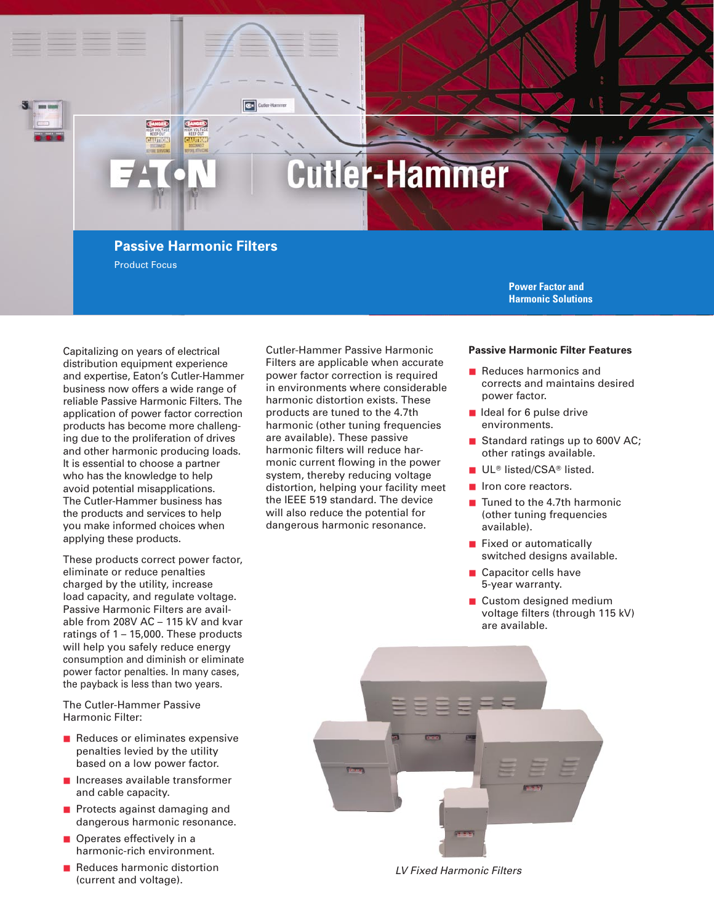# **Cutler-Hammer**

### **Passive Harmonic Filters**

C+ Cutler-Hamm

Product Focus

**Power Factor and Harmonic Solutions**

Capitalizing on years of electrical distribution equipment experience and expertise, Eaton's Cutler-Hammer business now offers a wide range of reliable Passive Harmonic Filters. The application of power factor correction products has become more challenging due to the proliferation of drives and other harmonic producing loads. It is essential to choose a partner who has the knowledge to help avoid potential misapplications. The Cutler-Hammer business has the products and services to help you make informed choices when applying these products.

These products correct power factor, eliminate or reduce penalties charged by the utility, increase load capacity, and regulate voltage. Passive Harmonic Filters are available from 208V AC – 115 kV and kvar ratings of 1 – 15,000. These products will help you safely reduce energy consumption and diminish or eliminate power factor penalties. In many cases, the payback is less than two years.

The Cutler-Hammer Passive Harmonic Filter:

- Reduces or eliminates expensive penalties levied by the utility based on a low power factor.
- Increases available transformer and cable capacity.
- Protects against damaging and dangerous harmonic resonance.
- Operates effectively in a harmonic-rich environment.
- Reduces harmonic distortion (current and voltage).

Cutler-Hammer Passive Harmonic Filters are applicable when accurate power factor correction is required in environments where considerable harmonic distortion exists. These products are tuned to the 4.7th harmonic (other tuning frequencies are available). These passive harmonic filters will reduce harmonic current flowing in the power system, thereby reducing voltage distortion, helping your facility meet the IEEE 519 standard. The device will also reduce the potential for dangerous harmonic resonance.

#### **Passive Harmonic Filter Features**

- Reduces harmonics and corrects and maintains desired power factor.
- Ideal for 6 pulse drive environments.
- Standard ratings up to 600V AC; other ratings available.
- UL<sup>®</sup> listed/CSA® listed.
- Iron core reactors.
- Tuned to the 4.7th harmonic (other tuning frequencies available).
- Fixed or automatically switched designs available.
- Capacitor cells have 5-year warranty.
- Custom designed medium voltage filters (through 115 kV) are available.



LV Fixed Harmonic Filters